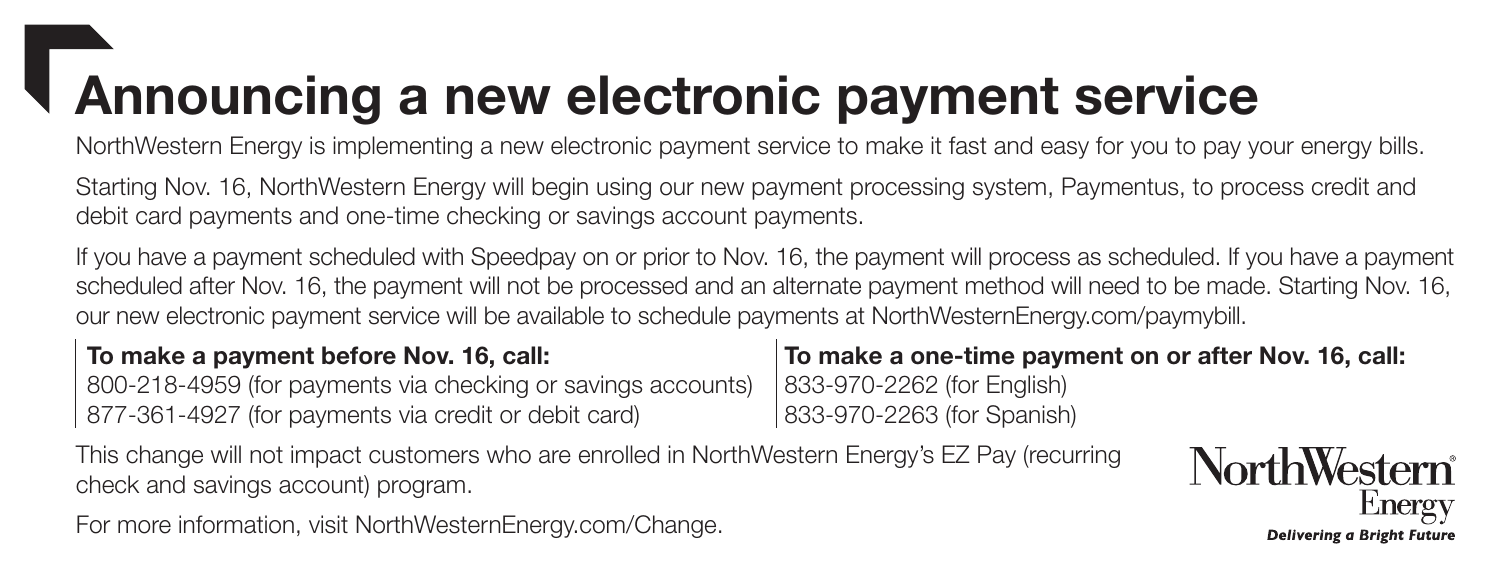## Announcing a new electronic payment service

NorthWestern Energy is implementing a new electronic payment service to make it fast and easy for you to pay your energy bills.

Starting Nov. 16, NorthWestern Energy will begin using our new payment processing system, Paymentus, to process credit and debit card payments and one-time checking or savings account payments.

If you have a payment scheduled with Speedpay on or prior to Nov. 16, the payment will process as scheduled. If you have a payment scheduled after Nov. 16, the payment will not be processed and an alternate payment method will need to be made. Starting Nov. 16, our new electronic payment service will be available to schedule payments at NorthWesternEnergy.com/paymybill.

### To make a payment before Nov. 16, call:

800-218-4959 (for payments via checking or savings accounts) 877-361-4927 (for payments via credit or debit card)

This change will not impact customers who are enrolled in NorthWestern Energy's EZ Pay (recurring check and savings account) program.

For more information, visit NorthWesternEnergy.com/Change.

To make a one-time payment on or after Nov. 16, call:

833-970-2262 (for English) 833-970-2263 (for Spanish)